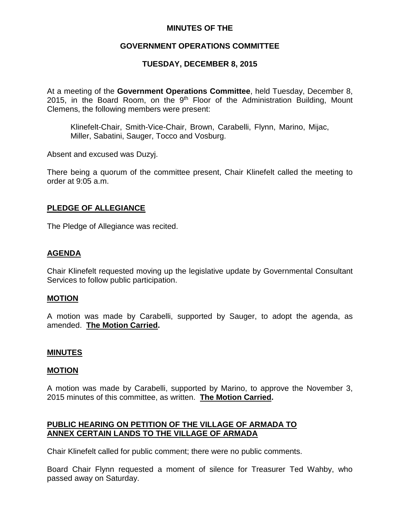# **MINUTES OF THE**

# **GOVERNMENT OPERATIONS COMMITTEE**

# **TUESDAY, DECEMBER 8, 2015**

At a meeting of the **Government Operations Committee**, held Tuesday, December 8, 2015, in the Board Room, on the  $9<sup>th</sup>$  Floor of the Administration Building, Mount Clemens, the following members were present:

Klinefelt-Chair, Smith-Vice-Chair, Brown, Carabelli, Flynn, Marino, Mijac, Miller, Sabatini, Sauger, Tocco and Vosburg.

Absent and excused was Duzyj.

There being a quorum of the committee present, Chair Klinefelt called the meeting to order at 9:05 a.m.

## **PLEDGE OF ALLEGIANCE**

The Pledge of Allegiance was recited.

## **AGENDA**

Chair Klinefelt requested moving up the legislative update by Governmental Consultant Services to follow public participation.

#### **MOTION**

A motion was made by Carabelli, supported by Sauger, to adopt the agenda, as amended. **The Motion Carried.**

#### **MINUTES**

#### **MOTION**

A motion was made by Carabelli, supported by Marino, to approve the November 3, 2015 minutes of this committee, as written. **The Motion Carried.**

# **PUBLIC HEARING ON PETITION OF THE VILLAGE OF ARMADA TO ANNEX CERTAIN LANDS TO THE VILLAGE OF ARMADA**

Chair Klinefelt called for public comment; there were no public comments.

Board Chair Flynn requested a moment of silence for Treasurer Ted Wahby, who passed away on Saturday.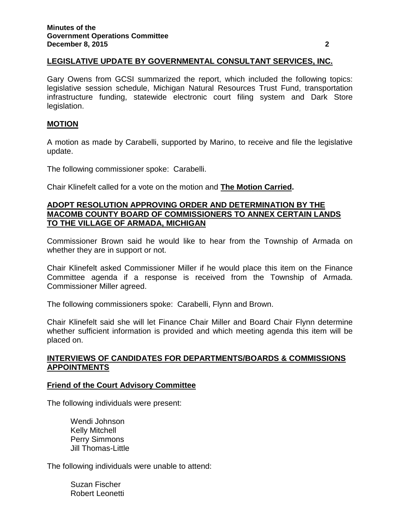## **LEGISLATIVE UPDATE BY GOVERNMENTAL CONSULTANT SERVICES, INC.**

Gary Owens from GCSI summarized the report, which included the following topics: legislative session schedule, Michigan Natural Resources Trust Fund, transportation infrastructure funding, statewide electronic court filing system and Dark Store legislation.

## **MOTION**

A motion as made by Carabelli, supported by Marino, to receive and file the legislative update.

The following commissioner spoke: Carabelli.

Chair Klinefelt called for a vote on the motion and **The Motion Carried.**

## **ADOPT RESOLUTION APPROVING ORDER AND DETERMINATION BY THE MACOMB COUNTY BOARD OF COMMISSIONERS TO ANNEX CERTAIN LANDS TO THE VILLAGE OF ARMADA, MICHIGAN**

Commissioner Brown said he would like to hear from the Township of Armada on whether they are in support or not.

Chair Klinefelt asked Commissioner Miller if he would place this item on the Finance Committee agenda if a response is received from the Township of Armada. Commissioner Miller agreed.

The following commissioners spoke: Carabelli, Flynn and Brown.

Chair Klinefelt said she will let Finance Chair Miller and Board Chair Flynn determine whether sufficient information is provided and which meeting agenda this item will be placed on.

# **INTERVIEWS OF CANDIDATES FOR DEPARTMENTS/BOARDS & COMMISSIONS APPOINTMENTS**

#### **Friend of the Court Advisory Committee**

The following individuals were present:

Wendi Johnson Kelly Mitchell Perry Simmons Jill Thomas-Little

The following individuals were unable to attend:

Suzan Fischer Robert Leonetti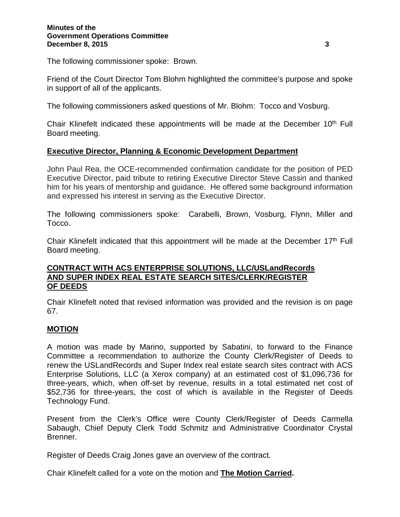#### **Minutes of the Government Operations Committee December 8, 2015 3**

The following commissioner spoke: Brown.

Friend of the Court Director Tom Blohm highlighted the committee's purpose and spoke in support of all of the applicants.

The following commissioners asked questions of Mr. Blohm: Tocco and Vosburg.

Chair Klinefelt indicated these appointments will be made at the December 10<sup>th</sup> Full Board meeting.

## **Executive Director, Planning & Economic Development Department**

John Paul Rea, the OCE-recommended confirmation candidate for the position of PED Executive Director, paid tribute to retiring Executive Director Steve Cassin and thanked him for his years of mentorship and guidance. He offered some background information and expressed his interest in serving as the Executive Director.

The following commissioners spoke: Carabelli, Brown, Vosburg, Flynn, Miller and Tocco.

Chair Klinefelt indicated that this appointment will be made at the December 17<sup>th</sup> Full Board meeting.

## **CONTRACT WITH ACS ENTERPRISE SOLUTIONS, LLC/USLandRecords AND SUPER INDEX REAL ESTATE SEARCH SITES/CLERK/REGISTER OF DEEDS**

Chair Klinefelt noted that revised information was provided and the revision is on page 67.

## **MOTION**

A motion was made by Marino, supported by Sabatini, to forward to the Finance Committee a recommendation to authorize the County Clerk/Register of Deeds to renew the USLandRecords and Super Index real estate search sites contract with ACS Enterprise Solutions, LLC (a Xerox company) at an estimated cost of \$1,096,736 for three-years, which, when off-set by revenue, results in a total estimated net cost of \$52,736 for three-years, the cost of which is available in the Register of Deeds Technology Fund.

Present from the Clerk's Office were County Clerk/Register of Deeds Carmella Sabaugh, Chief Deputy Clerk Todd Schmitz and Administrative Coordinator Crystal Brenner.

Register of Deeds Craig Jones gave an overview of the contract.

Chair Klinefelt called for a vote on the motion and **The Motion Carried.**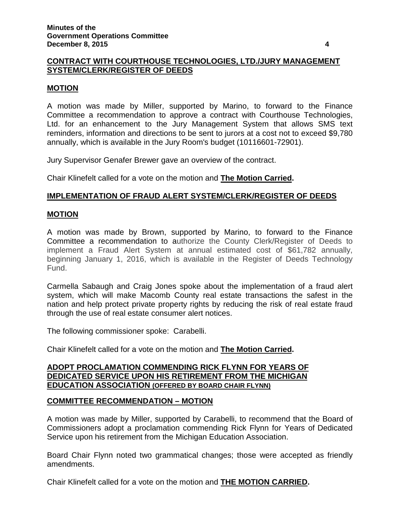# **CONTRACT WITH COURTHOUSE TECHNOLOGIES, LTD./JURY MANAGEMENT SYSTEM/CLERK/REGISTER OF DEEDS**

### **MOTION**

A motion was made by Miller, supported by Marino, to forward to the Finance Committee a recommendation to approve a contract with Courthouse Technologies, Ltd. for an enhancement to the Jury Management System that allows SMS text reminders, information and directions to be sent to jurors at a cost not to exceed \$9,780 annually, which is available in the Jury Room's budget (10116601-72901).

Jury Supervisor Genafer Brewer gave an overview of the contract.

Chair Klinefelt called for a vote on the motion and **The Motion Carried.**

## **IMPLEMENTATION OF FRAUD ALERT SYSTEM/CLERK/REGISTER OF DEEDS**

#### **MOTION**

A motion was made by Brown, supported by Marino, to forward to the Finance Committee a recommendation to authorize the County Clerk/Register of Deeds to implement a Fraud Alert System at annual estimated cost of \$61,782 annually, beginning January 1, 2016, which is available in the Register of Deeds Technology Fund.

Carmella Sabaugh and Craig Jones spoke about the implementation of a fraud alert system, which will make Macomb County real estate transactions the safest in the nation and help protect private property rights by reducing the risk of real estate fraud through the use of real estate consumer alert notices.

The following commissioner spoke: Carabelli.

Chair Klinefelt called for a vote on the motion and **The Motion Carried.**

## **ADOPT PROCLAMATION COMMENDING RICK FLYNN FOR YEARS OF DEDICATED SERVICE UPON HIS RETIREMENT FROM THE MICHIGAN EDUCATION ASSOCIATION (OFFERED BY BOARD CHAIR FLYNN)**

# **COMMITTEE RECOMMENDATION – MOTION**

A motion was made by Miller, supported by Carabelli, to recommend that the Board of Commissioners adopt a proclamation commending Rick Flynn for Years of Dedicated Service upon his retirement from the Michigan Education Association.

Board Chair Flynn noted two grammatical changes; those were accepted as friendly amendments.

Chair Klinefelt called for a vote on the motion and **THE MOTION CARRIED.**